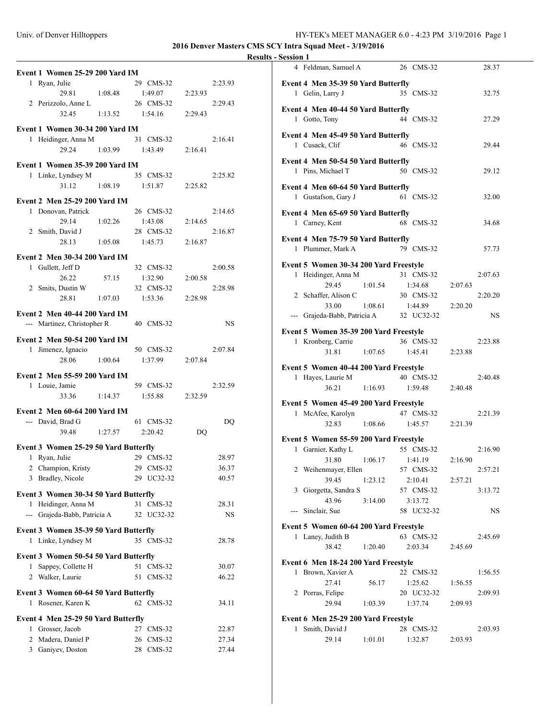## **2016 Denver Masters CMS SCY Intra Squad Meet - 3/19/2016**

| Event 1 Women 25-29 200 Yard IM                                |                     |                        |           |                |  |  |
|----------------------------------------------------------------|---------------------|------------------------|-----------|----------------|--|--|
| 1 Ryan, Julie                                                  |                     | 29 CMS-32              |           | 2:23.93        |  |  |
| 1:08.48<br>29.81                                               |                     | 1:49.07                | 2:23.93   |                |  |  |
| 2 Perizzolo, Anne L                                            |                     | 26 CMS-32              |           | 2:29.43        |  |  |
| 32.45                                                          | $1:13.52$ $1:54.16$ |                        | 2:29.43   |                |  |  |
| Event 1 Women 30-34 200 Yard IM                                |                     |                        |           |                |  |  |
| 1 Heidinger, Anna M                                            |                     | 31 CMS-32              |           | 2:16.41        |  |  |
| 29.24                                                          | 1:03.99             | 1:43.49                | 2:16.41   |                |  |  |
|                                                                |                     |                        |           |                |  |  |
| Event 1 Women 35-39 200 Yard IM                                |                     |                        |           |                |  |  |
| 1 Linke, Lyndsey M                                             |                     | 35 CMS-32              |           | 2:25.82        |  |  |
| 31.12                                                          | 1:08.19             | 1:51.87                | 2:25.82   |                |  |  |
| Event 2 Men 25-29 200 Yard IM                                  |                     |                        |           |                |  |  |
| 1 Donovan, Patrick                                             |                     | 26 CMS-32              |           | 2:14.65        |  |  |
| 29.14                                                          | 1:02.26             | 1:43.08                | 2:14.65   |                |  |  |
| 2 Smith, David J                                               |                     | 28 CMS-32              |           | 2:16.87        |  |  |
| 28.13                                                          | 1:05.08             | 1:45.73                | 2:16.87   |                |  |  |
| Event 2 Men 30-34 200 Yard IM                                  |                     |                        |           |                |  |  |
| 1 Gullett, Jeff D                                              |                     | 32 CMS-32              |           | 2:00.58        |  |  |
| 26.22                                                          | 57.15               | 1:32.90                | 2:00.58   |                |  |  |
| 2 Smits, Dustin W                                              |                     | 32 CMS-32              |           | 2:28.98        |  |  |
| 28.81<br>1:07.03                                               |                     | 1:53.36                | 2:28.98   |                |  |  |
| <b>Event 2 Men 40-44 200 Yard IM</b>                           |                     |                        |           |                |  |  |
| --- Martinez, Christopher R                                    |                     | 40 CMS-32              |           | <b>NS</b>      |  |  |
| Event 2 Men 50-54 200 Yard IM                                  |                     |                        |           |                |  |  |
| 1 Jimenez, Ignacio                                             |                     | 50 CMS-32              |           | 2:07.84        |  |  |
| 28.06                                                          | 1:00.64             | 1:37.99                | 2:07.84   |                |  |  |
|                                                                |                     |                        |           |                |  |  |
|                                                                |                     |                        |           |                |  |  |
| Event 2 Men 55-59 200 Yard IM                                  |                     |                        |           |                |  |  |
| 1 Louie, Jamie                                                 |                     | 59 CMS-32              |           | 2:32.59        |  |  |
| 33.36<br>1:14.37                                               |                     | 1:55.88                | 2:32.59   |                |  |  |
| <b>Event 2 Men 60-64 200 Yard IM</b>                           |                     |                        |           |                |  |  |
| --- David, Brad G                                              |                     | 61 CMS-32              |           | DQ             |  |  |
| 1:27.57<br>39.48                                               |                     | 2:20.42                | <b>DQ</b> |                |  |  |
|                                                                |                     |                        |           |                |  |  |
| Event 3 Women 25-29 50 Yard Butterfly<br>1                     |                     | 29 CMS-32              |           | 28.97          |  |  |
| Ryan, Julie                                                    |                     | 29 CMS-32              |           | 36.37          |  |  |
| Champion, Kristy<br>$\overline{c}$<br>3 Bradley, Nicole        |                     | 29 UC32-32             |           | 40.57          |  |  |
|                                                                |                     |                        |           |                |  |  |
| Event 3 Women 30-34 50 Yard Butterfly                          |                     |                        |           |                |  |  |
| Heidinger, Anna M<br>1                                         |                     | 31 CMS-32              |           | 28.31          |  |  |
| --- Grajeda-Babb, Patricia A                                   |                     | 32 UC32-32             |           | <b>NS</b>      |  |  |
| Event 3 Women 35-39 50 Yard Butterfly                          |                     |                        |           |                |  |  |
| 1 Linke, Lyndsey M                                             |                     | 35 CMS-32              |           | 28.78          |  |  |
| Event 3 Women 50-54 50 Yard Butterfly                          |                     |                        |           |                |  |  |
| Sappey, Collette H<br>1                                        |                     | 51<br>$CMS-32$         |           | 30.07          |  |  |
| 2 Walker, Laurie                                               |                     | 51<br>$CMS-32$         |           | 46.22          |  |  |
|                                                                |                     |                        |           |                |  |  |
| Event 3 Women 60-64 50 Yard Butterfly<br>Rosener, Karen K<br>1 |                     | 62 CMS-32              |           | 34.11          |  |  |
|                                                                |                     |                        |           |                |  |  |
| Event 4 Men 25-29 50 Yard Butterfly                            |                     |                        |           |                |  |  |
| 1 Grosser, Jacob                                               |                     | 27 CMS-32              |           | 22.87          |  |  |
| 2 Madera, Daniel P<br>Ganiyev, Doston<br>3                     |                     | 26 CMS-32<br>28 CMS-32 |           | 27.34<br>27.44 |  |  |

| эсээгчи 1 |                                        |                 |                      |         |         |  |
|-----------|----------------------------------------|-----------------|----------------------|---------|---------|--|
|           | 4 Feldman, Samuel A                    |                 | 26 CMS-32            |         | 28.37   |  |
|           | Event 4 Men 35-39 50 Yard Butterfly    |                 |                      |         |         |  |
|           | 1 Gelin, Larry J                       |                 | 35 CMS-32            |         | 32.75   |  |
|           |                                        |                 |                      |         |         |  |
|           | Event 4 Men 40-44 50 Yard Butterfly    |                 |                      |         |         |  |
|           | 1 Gotto, Tony                          |                 | 44 CMS-32            |         | 27.29   |  |
|           |                                        |                 |                      |         |         |  |
|           | Event 4 Men 45-49 50 Yard Butterfly    |                 |                      |         |         |  |
|           | 1 Cusack, Clif                         |                 | 46 CMS-32            |         | 29.44   |  |
|           | Event 4 Men 50-54 50 Yard Butterfly    |                 |                      |         |         |  |
|           | 1 Pins, Michael T                      |                 | 50 CMS-32            |         | 29.12   |  |
|           |                                        |                 |                      |         |         |  |
|           | Event 4 Men 60-64 50 Yard Butterfly    |                 |                      |         |         |  |
|           | 1 Gustafson, Gary J                    |                 | 61 CMS-32            |         | 32.00   |  |
|           | Event 4 Men 65-69 50 Yard Butterfly    |                 |                      |         |         |  |
|           | 1 Carney, Kent                         |                 | 68 CMS-32            |         | 34.68   |  |
|           |                                        |                 |                      |         |         |  |
|           | Event 4 Men 75-79 50 Yard Butterfly    |                 |                      |         |         |  |
|           | 1 Plummer, Mark A                      |                 | 79 CMS-32            |         | 57.73   |  |
|           | Event 5 Women 30-34 200 Yard Freestyle |                 |                      |         |         |  |
|           | 1 Heidinger, Anna M                    |                 | 31 CMS-32            |         | 2:07.63 |  |
|           | 29.45                                  | 1:01.54         | 1:34.68              | 2:07.63 |         |  |
|           | 2 Schaffer, Alison C                   |                 | 30 CMS-32            |         | 2:20.20 |  |
|           | 33.00                                  | 1:08.61 1:44.89 |                      | 2:20.20 |         |  |
|           | --- Grajeda-Babb, Patricia A           |                 | 32 UC32-32           |         | NS      |  |
|           |                                        |                 |                      |         |         |  |
|           | Event 5 Women 35-39 200 Yard Freestyle |                 |                      |         |         |  |
|           |                                        |                 |                      |         | 2:23.88 |  |
|           | 1 Kronberg, Carrie                     |                 | 36 CMS-32            |         |         |  |
|           | 31.81 1:07.65                          |                 | 1:45.41              | 2:23.88 |         |  |
|           |                                        |                 |                      |         |         |  |
|           | Event 5 Women 40-44 200 Yard Freestyle |                 | 40 CMS-32            |         | 2:40.48 |  |
|           | 1 Hayes, Laurie M<br>36.21             | 1:16.93         | 1:59.48              | 2:40.48 |         |  |
|           |                                        |                 |                      |         |         |  |
|           | Event 5 Women 45-49 200 Yard Freestyle |                 |                      |         |         |  |
|           | 1 McAfee, Karolyn                      |                 | 47 CMS-32            |         | 2:21.39 |  |
|           | 32.83                                  | 1:08.66         | 1:45.57              | 2:21.39 |         |  |
|           | Event 5 Women 55-59 200 Yard Freestyle |                 |                      |         |         |  |
|           | 1 Garnier, Kathy L                     |                 | 55 CMS-32            |         | 2:16.90 |  |
|           | 31.80                                  | 1:06.17         | 1:41.19              | 2:16.90 |         |  |
|           | 2 Weihenmayer, Ellen                   |                 | 57 CMS-32            |         | 2:57.21 |  |
|           | 39.45                                  | 1:23.12         | 2:10.41              | 2:57.21 |         |  |
|           | 3 Giorgetta, Sandra S                  |                 | 57 CMS-32            |         | 3:13.72 |  |
|           | 43.96                                  | 3:14.00         | 3:13.72              |         |         |  |
|           | --- Sinclair, Sue                      |                 | 58 UC32-32           |         | NS      |  |
|           |                                        |                 |                      |         |         |  |
|           | Event 5 Women 60-64 200 Yard Freestyle |                 |                      |         |         |  |
|           | 1 Laney, Judith B                      |                 | 63 CMS-32            |         | 2:45.69 |  |
|           | 38.42                                  | 1:20.40         | 2:03.34              | 2:45.69 |         |  |
|           | Event 6 Men 18-24 200 Yard Freestyle   |                 |                      |         |         |  |
| 1         | Brown, Xavier A                        |                 | 22 CMS-32            |         | 1:56.55 |  |
|           | 27.41                                  | 56.17           | 1:25.62              | 1:56.55 |         |  |
|           | 2 Porras, Felipe                       |                 | 20 UC32-32           |         | 2:09.93 |  |
|           | 29.94                                  | 1:03.39         | 1:37.74              | 2:09.93 |         |  |
|           |                                        |                 |                      |         |         |  |
| 1         | Event 6 Men 25-29 200 Yard Freestyle   |                 |                      |         |         |  |
|           | Smith, David J<br>29.14                | 1:01.01         | 28 CMS-32<br>1:32.87 | 2:03.93 | 2:03.93 |  |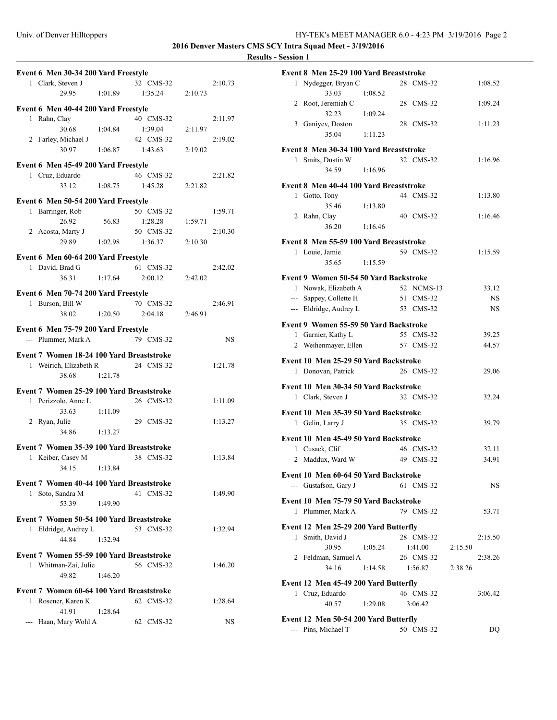**2016 Denver Masters CMS SCY Intra Squad Meet - 3/19/2016**

| Event 6 Men 30-34 200 Yard Freestyle      |         |           |           |
|-------------------------------------------|---------|-----------|-----------|
| 1 Clark, Steven J                         |         | 32 CMS-32 | 2:10.73   |
| 29.95                                     | 1:01.89 | 1:35.24   | 2:10.73   |
|                                           |         |           |           |
| Event 6 Men 40-44 200 Yard Freestyle      |         | 40 CMS-32 | 2:11.97   |
| 1 Rahn, Clay<br>30.68                     |         |           |           |
|                                           | 1:04.84 | 1:39.04   | 2:11.97   |
| 2 Farley, Michael J                       |         | 42 CMS-32 | 2:19.02   |
| 30.97                                     | 1:06.87 | 1:43.63   | 2:19.02   |
| Event 6 Men 45-49 200 Yard Freestyle      |         |           |           |
| 1 Cruz, Eduardo                           |         | 46 CMS-32 | 2:21.82   |
| 33.12                                     | 1:08.75 | 1:45.28   | 2:21.82   |
| Event 6 Men 50-54 200 Yard Freestyle      |         |           |           |
| 1 Barringer, Rob                          |         | 50 CMS-32 | 1:59.71   |
| 26.92                                     | 56.83   | 1:28.28   | 1:59.71   |
| 2 Acosta, Marty J                         |         | 50 CMS-32 | 2:10.30   |
| 29.89                                     | 1:02.98 | 1:36.37   | 2:10.30   |
|                                           |         |           |           |
| Event 6 Men 60-64 200 Yard Freestyle      |         |           |           |
| 1 David, Brad G                           |         | 61 CMS-32 | 2:42.02   |
| 36.31                                     | 1:17.64 | 2:00.12   | 2:42.02   |
| Event 6 Men 70-74 200 Yard Freestyle      |         |           |           |
| 1 Burson, Bill W                          |         | 70 CMS-32 | 2:46.91   |
| 38.02                                     | 1:20.50 | 2:04.18   | 2:46.91   |
|                                           |         |           |           |
| Event 6 Men 75-79 200 Yard Freestyle      |         |           |           |
| --- Plummer, Mark A                       |         | 79 CMS-32 | <b>NS</b> |
|                                           |         |           |           |
| Event 7 Women 18-24 100 Yard Breaststroke |         |           |           |
| 1 Weirich, Elizabeth R                    |         | 24 CMS-32 | 1:21.78   |
| 38.68                                     | 1:21.78 |           |           |
|                                           |         |           |           |
| Event 7 Women 25-29 100 Yard Breaststroke |         |           |           |
| 1 Perizzolo, Anne L                       |         | 26 CMS-32 | 1:11.09   |
| 33.63                                     | 1:11.09 |           |           |
| 2 Ryan, Julie                             |         | 29 CMS-32 | 1:13.27   |
| 34.86                                     | 1:13.27 |           |           |
| Event 7 Women 35-39 100 Yard Breaststroke |         |           |           |
| Keiber, Casey M<br>1                      |         | 38 CMS-32 | 1:13.84   |
| 34.15                                     | 1:13.84 |           |           |
|                                           |         |           |           |
| Event 7 Women 40-44 100 Yard Breaststroke |         |           |           |
| 1 Soto, Sandra M                          |         | 41 CMS-32 | 1:49.90   |
| 53.39                                     | 1:49.90 |           |           |
| Event 7 Women 50-54 100 Yard Breaststroke |         |           |           |
| 1 Eldridge, Audrey L                      |         | 53 CMS-32 | 1:32.94   |
| 44.84                                     | 1:32.94 |           |           |
| Event 7 Women 55-59 100 Yard Breaststroke |         |           |           |
| 1 Whitman-Zai, Julie                      |         | 56 CMS-32 | 1:46.20   |
| 49.82                                     | 1:46.20 |           |           |
|                                           |         |           |           |
| Event 7 Women 60-64 100 Yard Breaststroke |         |           |           |
| 1 Rosener, Karen K                        |         | 62 CMS-32 | 1:28.64   |
| 41.91<br>--- Haan, Mary Wohl A            | 1:28.64 | 62 CMS-32 | NS        |

|   | Event 8 Men 25-29 100 Yard Breaststroke                      |         |            |         |           |
|---|--------------------------------------------------------------|---------|------------|---------|-----------|
|   | 1 Nydegger, Bryan C<br>33.03                                 | 1:08.52 | 28 CMS-32  |         | 1:08.52   |
|   | 2 Root, Jeremiah C<br>32.23                                  | 1:09.24 | 28 CMS-32  |         | 1:09.24   |
|   | 3 Ganiyev, Doston<br>35.04                                   | 1:11.23 | 28 CMS-32  |         | 1:11.23   |
|   | Event 8 Men 30-34 100 Yard Breaststroke                      |         |            |         |           |
|   | 1 Smits, Dustin W                                            |         | 32 CMS-32  |         | 1:16.96   |
|   | 34.59                                                        | 1:16.96 |            |         |           |
|   | Event 8 Men 40-44 100 Yard Breaststroke                      |         |            |         |           |
|   | 1 Gotto, Tony                                                |         | 44 CMS-32  |         | 1:13.80   |
|   | 35.46                                                        | 1:13.80 |            |         |           |
|   | 2 Rahn, Clay                                                 |         | 40 CMS-32  |         | 1:16.46   |
|   | 36.20                                                        | 1:16.46 |            |         |           |
|   | Event 8 Men 55-59 100 Yard Breaststroke                      |         |            |         |           |
|   | 1 Louie, Jamie                                               |         | 59 CMS-32  |         | 1:15.59   |
|   | 35.65                                                        | 1:15.59 |            |         |           |
|   | Event 9 Women 50-54 50 Yard Backstroke                       |         |            |         |           |
|   | 1 Nowak, Elizabeth A                                         |         | 52 NCMS-13 |         | 33.12     |
|   | --- Sappey, Collette H                                       |         | 51 CMS-32  |         | <b>NS</b> |
|   | --- Eldridge, Audrey L                                       |         | 53 CMS-32  |         | <b>NS</b> |
|   | Event 9 Women 55-59 50 Yard Backstroke                       |         |            |         |           |
| 1 | Garnier, Kathy L                                             |         | 55 CMS-32  |         | 39.25     |
|   | 2 Weihenmayer, Ellen                                         |         | 57 CMS-32  |         | 44.57     |
|   |                                                              |         |            |         |           |
|   |                                                              |         |            |         |           |
|   | Event 10 Men 25-29 50 Yard Backstroke                        |         |            |         |           |
|   | 1 Donovan, Patrick                                           |         | 26 CMS-32  |         | 29.06     |
|   | Event 10 Men 30-34 50 Yard Backstroke                        |         |            |         |           |
|   | 1 Clark, Steven J                                            |         | 32 CMS-32  |         | 32.24     |
|   | Event 10 Men 35-39 50 Yard Backstroke                        |         |            |         |           |
|   | 1 Gelin, Larry J                                             |         | 35 CMS-32  |         | 39.79     |
|   |                                                              |         |            |         |           |
|   | Event 10 Men 45-49 50 Yard Backstroke                        |         |            |         |           |
|   | 1 Cusack, Clif                                               |         | 46 CMS-32  |         | 32.11     |
|   | 2 Maddux, Ward W                                             |         | 49 CMS-32  |         | 34.91     |
|   | Event 10 Men 60-64 50 Yard Backstroke                        |         |            |         |           |
|   | --- Gustafson, Gary J                                        |         | 61 CMS-32  |         | <b>NS</b> |
|   | Event 10 Men 75-79 50 Yard Backstroke                        |         |            |         |           |
|   | 1 Plummer, Mark A                                            |         | 79 CMS-32  |         | 53.71     |
|   |                                                              |         |            |         |           |
| 1 | Event 12 Men 25-29 200 Yard Butterfly<br>Smith, David J      |         | 28 CMS-32  |         | 2:15.50   |
|   | 30.95                                                        | 1:05.24 | 1:41.00    | 2:15.50 |           |
|   | 2 Feldman, Samuel A                                          |         | 26 CMS-32  |         | 2:38.26   |
|   | 34.16                                                        | 1:14.58 | 1:56.87    | 2:38.26 |           |
|   |                                                              |         |            |         |           |
|   | Event 12 Men 45-49 200 Yard Butterfly<br>1 Cruz, Eduardo     |         | 46 CMS-32  |         | 3:06.42   |
|   | 40.57                                                        | 1:29.08 | 3:06.42    |         |           |
|   |                                                              |         |            |         |           |
|   | Event 12 Men 50-54 200 Yard Butterfly<br>--- Pins, Michael T |         | 50 CMS-32  |         | DQ        |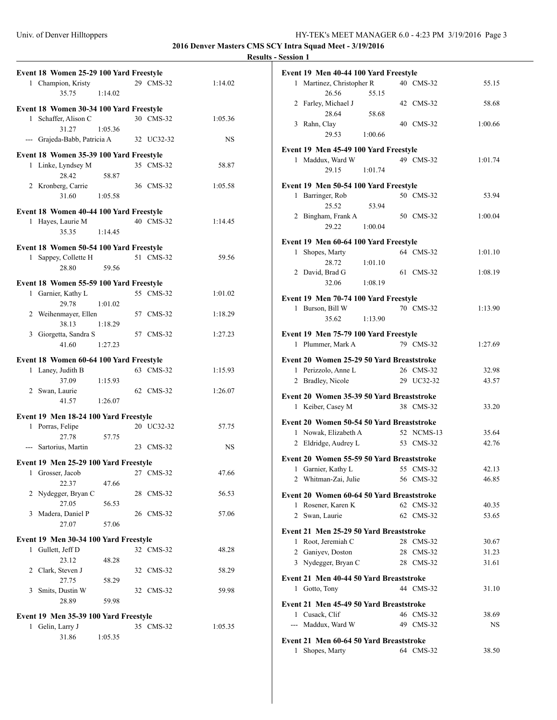**2016 Denver Masters CMS SCY Intra Squad Meet - 3/19/2016**

| Event 18 Women 25-29 100 Yard Freestyle                                  |         |            |         |  |
|--------------------------------------------------------------------------|---------|------------|---------|--|
| 1 Champion, Kristy                                                       |         | 29 CMS-32  | 1:14.02 |  |
| 35.75                                                                    | 1:14.02 |            |         |  |
|                                                                          |         |            |         |  |
| Event 18 Women 30-34 100 Yard Freestyle<br>1 Schaffer, Alison C          |         | 30 CMS-32  | 1:05.36 |  |
| 31.27                                                                    | 1:05.36 |            |         |  |
| --- Grajeda-Babb, Patricia A                                             |         | 32 UC32-32 | NS      |  |
|                                                                          |         |            |         |  |
| Event 18 Women 35-39 100 Yard Freestyle                                  |         | 35 CMS-32  | 58.87   |  |
| 1 Linke, Lyndsey M<br>28.42                                              | 58.87   |            |         |  |
| 2 Kronberg, Carrie                                                       |         | 36 CMS-32  | 1:05.58 |  |
| 31.60                                                                    | 1:05.58 |            |         |  |
|                                                                          |         |            |         |  |
| Event 18 Women 40-44 100 Yard Freestyle                                  |         | 40 CMS-32  | 1:14.45 |  |
| 1 Hayes, Laurie M<br>35.35                                               | 1:14.45 |            |         |  |
|                                                                          |         |            |         |  |
| Event 18 Women 50-54 100 Yard Freestyle                                  |         |            |         |  |
| 1 Sappey, Collette H                                                     |         | 51 CMS-32  | 59.56   |  |
| 28.80                                                                    | 59.56   |            |         |  |
| Event 18 Women 55-59 100 Yard Freestyle                                  |         |            |         |  |
| 1 Garnier, Kathy L                                                       |         | 55 CMS-32  | 1:01.02 |  |
| 29.78                                                                    | 1:01.02 |            |         |  |
| 2 Weihenmayer, Ellen                                                     |         | 57 CMS-32  | 1:18.29 |  |
| 38.13 1:18.29<br>3 Giorgetta, Sandra S                                   |         | 57 CMS-32  | 1:27.23 |  |
| 41.60                                                                    | 1:27.23 |            |         |  |
|                                                                          |         |            |         |  |
| Event 18 Women 60-64 100 Yard Freestyle                                  |         |            |         |  |
| 1 Laney, Judith B                                                        |         | 63 CMS-32  | 1:15.93 |  |
| 37.09<br>2 Swan, Laurie                                                  | 1:15.93 | 62 CMS-32  | 1:26.07 |  |
| 41.57                                                                    | 1:26.07 |            |         |  |
|                                                                          |         |            |         |  |
| Event 19 Men 18-24 100 Yard Freestyle                                    |         |            |         |  |
| 1 Porras, Felipe                                                         |         | 20 UC32-32 | 57.75   |  |
| 27.78<br>--- Sartorius, Martin                                           | 57.75   | 23 CMS-32  | NS      |  |
|                                                                          |         |            |         |  |
| Event 19 Men 25-29 100 Yard Freestyle                                    |         |            |         |  |
| 1<br>Grosser, Jacob                                                      |         | 27 CMS-32  | 47.66   |  |
| 22.37                                                                    | 47.66   | 28 CMS-32  |         |  |
| 2 Nydegger, Bryan C<br>27.05                                             | 56.53   |            | 56.53   |  |
| 3 Madera, Daniel P                                                       |         | 26 CMS-32  | 57.06   |  |
| 27.07                                                                    | 57.06   |            |         |  |
|                                                                          |         |            |         |  |
| Event 19 Men 30-34 100 Yard Freestyle<br>Gullett, Jeff D<br>$\mathbf{1}$ |         | 32 CMS-32  | 48.28   |  |
| 23.12                                                                    | 48.28   |            |         |  |
| 2 Clark, Steven J                                                        |         | 32 CMS-32  | 58.29   |  |
| 27.75                                                                    | 58.29   |            |         |  |
| 3 Smits, Dustin W                                                        |         | 32 CMS-32  | 59.98   |  |
| 28.89                                                                    | 59.98   |            |         |  |
| Event 19 Men 35-39 100 Yard Freestyle                                    |         |            |         |  |
| Gelin, Larry J<br>1                                                      |         | 35 CMS-32  | 1:05.35 |  |
| 31.86                                                                    | 1:05.35 |            |         |  |
|                                                                          |         |            |         |  |

|   | Event 19 Men 40-44 100 Yard Freestyle                     |         |          |                      |                |
|---|-----------------------------------------------------------|---------|----------|----------------------|----------------|
|   | 1 Martinez, Christopher R                                 |         |          | 40 CMS-32            | 55.15          |
|   | 26.56                                                     | 55.15   |          |                      |                |
|   | 2 Farley, Michael J                                       |         |          | 42 CMS-32            | 58.68          |
|   | 28.64                                                     | 58.68   |          |                      |                |
|   | 3 Rahn, Clay                                              |         |          | 40 CMS-32            | 1:00.66        |
|   | 29.53                                                     | 1:00.66 |          |                      |                |
|   | Event 19 Men 45-49 100 Yard Freestyle                     |         |          |                      |                |
|   | 1 Maddux, Ward W                                          |         |          | 49 CMS-32            | 1:01.74        |
|   | 29.15                                                     | 1:01.74 |          |                      |                |
|   |                                                           |         |          |                      |                |
|   | Event 19 Men 50-54 100 Yard Freestyle<br>1 Barringer, Rob |         |          | 50 CMS-32            | 53.94          |
|   | 25.52                                                     | 53.94   |          |                      |                |
|   | 2 Bingham, Frank A                                        |         |          | 50 CMS-32            | 1:00.04        |
|   | 29.22                                                     | 1:00.04 |          |                      |                |
|   |                                                           |         |          |                      |                |
| 1 | Event 19 Men 60-64 100 Yard Freestyle                     |         |          | 64 CMS-32            |                |
|   | Shopes, Marty<br>28.72                                    | 1:01.10 |          |                      | 1:01.10        |
|   | 2 David, Brad G                                           |         |          | 61 CMS-32            | 1:08.19        |
|   | 32.06                                                     | 1:08.19 |          |                      |                |
|   |                                                           |         |          |                      |                |
|   | Event 19 Men 70-74 100 Yard Freestyle                     |         |          |                      |                |
|   | 1 Burson, Bill W                                          |         |          | 70 CMS-32            | 1:13.90        |
|   | 35.62                                                     | 1:13.90 |          |                      |                |
|   | Event 19 Men 75-79 100 Yard Freestyle                     |         |          |                      |                |
|   | 1 Plummer, Mark A                                         |         |          | 79 CMS-32            | 1:27.69        |
|   | Event 20 Women 25-29 50 Yard Breaststroke                 |         |          |                      |                |
|   |                                                           |         |          |                      |                |
|   | 1 Perizzolo, Anne L                                       |         |          | 26 CMS-32            | 32.98          |
|   | 2 Bradley, Nicole                                         |         |          | 29 UC32-32           | 43.57          |
|   |                                                           |         |          |                      |                |
|   | Event 20 Women 35-39 50 Yard Breaststroke                 |         |          |                      |                |
|   | 1 Keiber, Casey M                                         |         |          | 38 CMS-32            | 33.20          |
|   | Event 20 Women 50-54 50 Yard Breaststroke                 |         |          |                      |                |
|   | 1 Nowak, Elizabeth A                                      |         |          | 52 NCMS-13           | 35.64          |
|   | 2 Eldridge, Audrey L                                      |         |          | 53 CMS-32            | 42.76          |
|   | Event 20 Women 55-59 50 Yard Breaststroke                 |         |          |                      |                |
| 1 | Garnier, Kathy L                                          |         | 55       | CMS-32               | 42.13          |
|   | 2 Whitman-Zai, Julie                                      |         |          | 56 CMS-32            | 46.85          |
|   | Event 20 Women 60-64 50 Yard Breaststroke                 |         |          |                      |                |
|   | 1 Rosener, Karen K                                        |         |          | 62 CMS-32            | 40.35          |
|   | 2 Swan, Laurie                                            |         |          | 62 CMS-32            | 53.65          |
|   |                                                           |         |          |                      |                |
|   | Event 21 Men 25-29 50 Yard Breaststroke                   |         |          |                      |                |
|   | 1 Root, Jeremiah C                                        |         | 28<br>28 | $CMS-32$<br>$CMS-32$ | 30.67<br>31.23 |
|   | 2 Ganivev, Doston<br>3 Nydegger, Bryan C                  |         |          | 28 CMS-32            | 31.61          |
|   |                                                           |         |          |                      |                |
|   | Event 21 Men 40-44 50 Yard Breaststroke                   |         |          |                      |                |
|   | 1 Gotto, Tony                                             |         |          | 44 CMS-32            | 31.10          |
|   | Event 21 Men 45-49 50 Yard Breaststroke                   |         |          |                      |                |
|   | 1 Cusack, Clif                                            |         |          | 46 CMS-32            | 38.69          |
|   | --- Maddux, Ward W                                        |         |          | 49 CMS-32            | NS             |
|   | Event 21 Men 60-64 50 Yard Breaststroke                   |         |          |                      |                |
| 1 | Shopes, Marty                                             |         |          | 64 CMS-32            | 38.50          |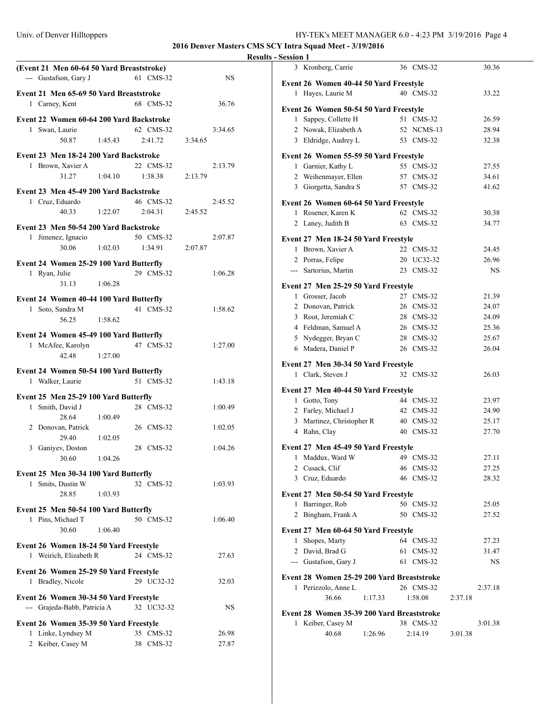#### Univ. of Denver Hilltoppers

## **2016 Denver Masters CMS SCY Intra Squad Meet - 3/19/2016**

| (Event 21 Men 60-64 50 Yard Breaststroke)                   |                |           |
|-------------------------------------------------------------|----------------|-----------|
| --- Gustafson, Gary J                                       | 61 CMS-32      | <b>NS</b> |
|                                                             |                |           |
| Event 21 Men 65-69 50 Yard Breaststroke                     |                |           |
| 1 Carney, Kent                                              | 68 CMS-32      | 36.76     |
| Event 22 Women 60-64 200 Yard Backstroke                    |                |           |
| 1 Swan, Laurie                                              | 62 CMS-32      | 3:34.65   |
| 50.87 1:45.43                                               | 2:41.72        | 3:34.65   |
|                                                             |                |           |
| Event 23 Men 18-24 200 Yard Backstroke                      |                |           |
| 1 Brown, Xavier A                                           | 22 CMS-32      | 2:13.79   |
| 1:04.10<br>31.27                                            | 1:38.38        | 2:13.79   |
| Event 23 Men 45-49 200 Yard Backstroke                      |                |           |
| 1 Cruz, Eduardo                                             | 46 CMS-32      | 2:45.52   |
| 40.33<br>1:22.07                                            | 2:04.31        | 2:45.52   |
|                                                             |                |           |
| Event 23 Men 50-54 200 Yard Backstroke                      |                |           |
| 1 Jimenez, Ignacio                                          | 50 CMS-32      | 2:07.87   |
| 30.06<br>1:02.03                                            | 1:34.91        | 2:07.87   |
| Event 24 Women 25-29 100 Yard Butterfly                     |                |           |
| 1 Ryan, Julie                                               | 29 CMS-32      | 1:06.28   |
| 31.13<br>1:06.28                                            |                |           |
|                                                             |                |           |
| Event 24 Women 40-44 100 Yard Butterfly                     |                |           |
| 1 Soto, Sandra M                                            | 41 CMS-32      | 1:58.62   |
| 1:58.62<br>56.25                                            |                |           |
| Event 24 Women 45-49 100 Yard Butterfly                     |                |           |
| McAfee, Karolyn<br>$\mathbf{1}$                             | 47 CMS-32      | 1:27.00   |
| 42.48<br>1:27.00                                            |                |           |
|                                                             |                |           |
| Event 24 Women 50-54 100 Yard Butterfly<br>1 Walker, Laurie | 51 CMS-32      | 1:43.18   |
|                                                             |                |           |
| Event 25 Men 25-29 100 Yard Butterfly                       |                |           |
| Smith, David J<br>1                                         | 28 CMS-32      | 1:00.49   |
| 28.64<br>1:00.49                                            |                |           |
| 2 Donovan, Patrick                                          | 26 CMS-32      | 1:02.05   |
| 29.40<br>1:02.05                                            |                |           |
| 3 Ganiyev, Doston                                           | 28 CMS-32      | 1:04.26   |
| 30.60<br>1:04.26                                            |                |           |
| Event 25 Men 30-34 100 Yard Butterfly                       |                |           |
| Smits, Dustin W<br>1                                        | 32 CMS-32      | 1:03.93   |
| 28.85<br>1:03.93                                            |                |           |
|                                                             |                |           |
| Event 25 Men 50-54 100 Yard Butterfly                       |                |           |
| 1 Pins, Michael T                                           | 50 CMS-32      | 1:06.40   |
| 30.60<br>1:06.40                                            |                |           |
| Event 26 Women 18-24 50 Yard Freestyle                      |                |           |
| 1 Weirich, Elizabeth R                                      | 24 CMS-32      | 27.63     |
|                                                             |                |           |
| Event 26 Women 25-29 50 Yard Freestyle                      |                |           |
| 1 Bradley, Nicole                                           | 29 UC32-32     | 32.03     |
| Event 26 Women 30-34 50 Yard Freestyle                      |                |           |
| --- Grajeda-Babb, Patricia A                                | 32 UC32-32     | NS        |
|                                                             |                |           |
| Event 26 Women 35-39 50 Yard Freestyle                      |                |           |
| Linke, Lyndsey M<br>1                                       | 35 CMS-32      | 26.98     |
| 2<br>Keiber, Casey M                                        | $CMS-32$<br>38 | 27.87     |

| 3 Kronberg, Carrie                         | 36 CMS-32      | 30.36   |
|--------------------------------------------|----------------|---------|
|                                            |                |         |
| Event 26 Women 40-44 50 Yard Freestyle     |                |         |
| 1 Hayes, Laurie M                          | 40 CMS-32      | 33.22   |
| Event 26 Women 50-54 50 Yard Freestyle     |                |         |
| 1 Sappey, Collette H                       | 51 CMS-32      | 26.59   |
| 2 Nowak, Elizabeth A                       | 52 NCMS-13     | 28.94   |
| 3 Eldridge, Audrey L                       | 53 CMS-32      | 32.38   |
|                                            |                |         |
| Event 26 Women 55-59 50 Yard Freestyle     |                |         |
| 1 Garnier, Kathy L                         | 55 CMS-32      | 27.55   |
| 2 Weihenmayer, Ellen                       | 57 CMS-32      | 34.61   |
| 3 Giorgetta, Sandra S                      | 57 CMS-32      | 41.62   |
| Event 26 Women 60-64 50 Yard Freestyle     |                |         |
| 1 Rosener, Karen K                         | 62 CMS-32      | 30.38   |
| 2 Laney, Judith B                          | 63 CMS-32      | 34.77   |
|                                            |                |         |
| Event 27 Men 18-24 50 Yard Freestyle       |                |         |
| 1 Brown, Xavier A                          | 22 CMS-32      | 24.45   |
| 2 Porras, Felipe                           | 20 UC32-32     | 26.96   |
| --- Sartorius, Martin                      | 23 CMS-32      | NS      |
|                                            |                |         |
| Event 27 Men 25-29 50 Yard Freestyle       |                |         |
| 1 Grosser, Jacob                           | 27 CMS-32      | 21.39   |
| 2 Donovan, Patrick                         | 26 CMS-32      | 24.07   |
| 3 Root, Jeremiah C                         | 28 CMS-32      | 24.09   |
| 4 Feldman, Samuel A                        | 26 CMS-32      | 25.36   |
| 5 Nydegger, Bryan C                        | 28 CMS-32      | 25.67   |
| 6 Madera, Daniel P                         | 26 CMS-32      | 26.04   |
|                                            |                |         |
|                                            |                |         |
| Event 27 Men 30-34 50 Yard Freestyle       |                |         |
| 1 Clark, Steven J                          | 32 CMS-32      | 26.03   |
| Event 27 Men 40-44 50 Yard Freestyle       |                |         |
| 1 Gotto, Tony                              | 44 CMS-32      | 23.97   |
| 2 Farley, Michael J                        | 42 CMS-32      | 24.90   |
| 3 Martinez, Christopher R                  | 40 CMS-32      | 25.17   |
| 4 Rahn, Clay                               | 40 CMS-32      | 27.70   |
|                                            |                |         |
| Event 27 Men 45-49 50 Yard Freestyle       |                |         |
| 1 Maddux, Ward W                           | 49 CMS-32      | 27.11   |
| 2 Cusack, Clif                             | 46 CMS-32      | 27.25   |
| 3 Cruz, Eduardo                            | 46 CMS-32      | 28.32   |
|                                            |                |         |
| Event 27 Men 50-54 50 Yard Freestyle       |                |         |
| Barringer, Rob<br>1                        | 50 CMS-32      | 25.05   |
| 2 Bingham, Frank A                         | 50 CMS-32      | 27.52   |
| Event 27 Men 60-64 50 Yard Freestyle       |                |         |
| 1 Shopes, Marty                            | 64 CMS-32      | 27.23   |
| 2 David, Brad G                            | $CMS-32$<br>61 | 31.47   |
| --- Gustafson, Gary J                      | $CMS-32$<br>61 | NS      |
|                                            |                |         |
| Event 28 Women 25-29 200 Yard Breaststroke |                |         |
| 1 Perizzolo, Anne L                        | 26 CMS-32      | 2:37.18 |
| 36.66<br>1:17.33                           | 1:58.08        | 2:37.18 |
| Event 28 Women 35-39 200 Yard Breaststroke |                |         |
| Keiber, Casey M<br>1                       | 38 CMS-32      | 3:01.38 |
| 40.68<br>1:26.96                           | 2:14.19        | 3:01.38 |